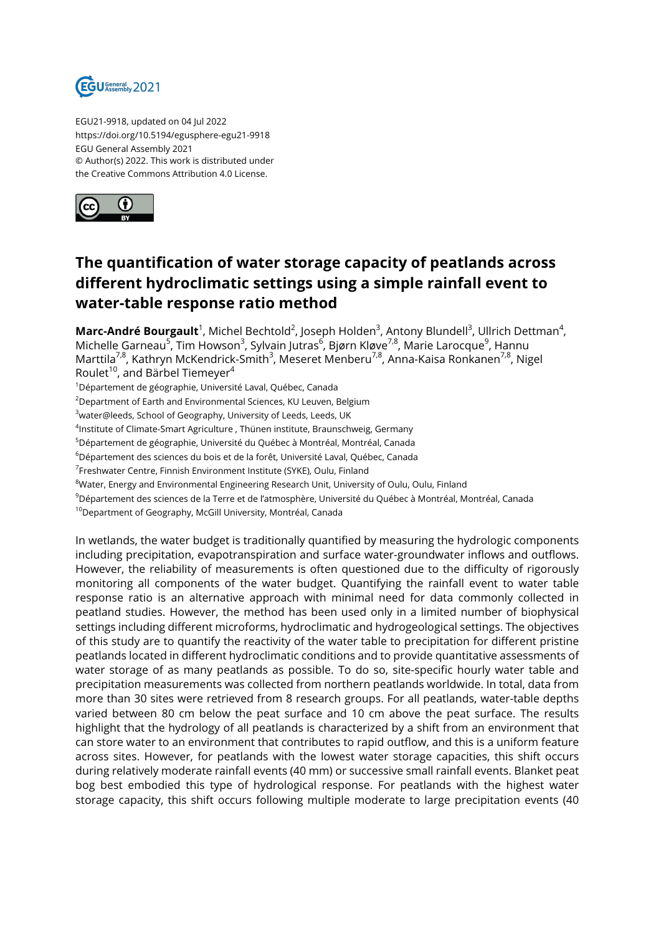

EGU21-9918, updated on 04 Jul 2022 https://doi.org/10.5194/egusphere-egu21-9918 EGU General Assembly 2021 © Author(s) 2022. This work is distributed under the Creative Commons Attribution 4.0 License.



## **The quantification of water storage capacity of peatlands across different hydroclimatic settings using a simple rainfall event to water-table response ratio method**

**Marc-André Bourgault**<sup>1</sup>, Michel Bechtold<sup>2</sup>, Joseph Holden<sup>3</sup>, Antony Blundell<sup>3</sup>, Ullrich Dettman<sup>4</sup>, Michelle Garneau<sup>5</sup>, Tim Howson<sup>3</sup>, Sylvain Jutras<sup>6</sup>, Bjørn Kløve<sup>7,8</sup>, Marie Larocque<sup>9</sup>, Hannu Marttila<sup>7,8</sup>, Kathryn McKendrick-Smith<sup>3</sup>, Meseret Menberu<sup>7,8</sup>, Anna-Kaisa Ronkanen<sup>7,8</sup>, Nigel Roulet $^{\text{10}}$ , and Bärbel Tiemeyer $^{\text{4}}$ 

<sup>1</sup>Département de géographie, Université Laval, Québec, Canada

<sup>2</sup>Department of Earth and Environmental Sciences, KU Leuven, Belgium

<sup>3</sup>water@leeds, School of Geography, University of Leeds, Leeds, UK

<sup>4</sup>Institute of Climate-Smart Agriculture , Thünen institute, Braunschweig, Germany

<sup>5</sup>Département de géographie, Université du Québec à Montréal, Montréal, Canada

<sup>6</sup>Département des sciences du bois et de la forêt, Université Laval, Québec, Canada

<sup>7</sup>Freshwater Centre, Finnish Environment Institute (SYKE), Oulu, Finland

<sup>8</sup>Water, Energy and Environmental Engineering Research Unit, University of Oulu, Oulu, Finland

<sup>9</sup>Département des sciences de la Terre et de l'atmosphère, Université du Québec à Montréal, Montréal, Canada

<sup>10</sup>Department of Geography, McGill University, Montréal, Canada

In wetlands, the water budget is traditionally quantified by measuring the hydrologic components including precipitation, evapotranspiration and surface water-groundwater inflows and outflows. However, the reliability of measurements is often questioned due to the difficulty of rigorously monitoring all components of the water budget. Quantifying the rainfall event to water table response ratio is an alternative approach with minimal need for data commonly collected in peatland studies. However, the method has been used only in a limited number of biophysical settings including different microforms, hydroclimatic and hydrogeological settings. The objectives of this study are to quantify the reactivity of the water table to precipitation for different pristine peatlands located in different hydroclimatic conditions and to provide quantitative assessments of water storage of as many peatlands as possible. To do so, site-specific hourly water table and precipitation measurements was collected from northern peatlands worldwide. In total, data from more than 30 sites were retrieved from 8 research groups. For all peatlands, water-table depths varied between 80 cm below the peat surface and 10 cm above the peat surface. The results highlight that the hydrology of all peatlands is characterized by a shift from an environment that can store water to an environment that contributes to rapid outflow, and this is a uniform feature across sites. However, for peatlands with the lowest water storage capacities, this shift occurs during relatively moderate rainfall events (40 mm) or successive small rainfall events. Blanket peat bog best embodied this type of hydrological response. For peatlands with the highest water storage capacity, this shift occurs following multiple moderate to large precipitation events (40